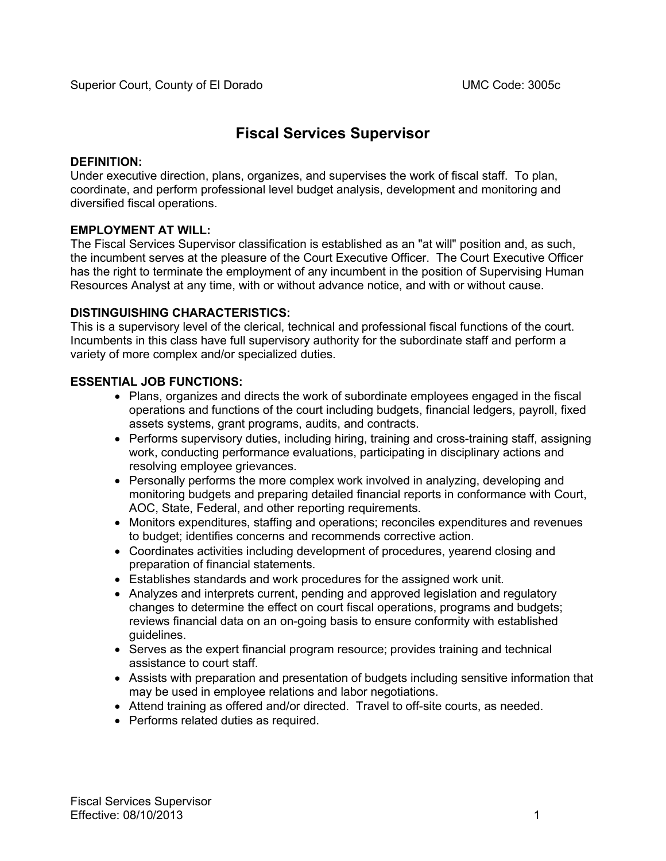# **Fiscal Services Supervisor**

## **DEFINITION:**

Under executive direction, plans, organizes, and supervises the work of fiscal staff. To plan, coordinate, and perform professional level budget analysis, development and monitoring and diversified fiscal operations.

# **EMPLOYMENT AT WILL:**

The Fiscal Services Supervisor classification is established as an "at will" position and, as such, the incumbent serves at the pleasure of the Court Executive Officer. The Court Executive Officer has the right to terminate the employment of any incumbent in the position of Supervising Human Resources Analyst at any time, with or without advance notice, and with or without cause.

# **DISTINGUISHING CHARACTERISTICS:**

This is a supervisory level of the clerical, technical and professional fiscal functions of the court. Incumbents in this class have full supervisory authority for the subordinate staff and perform a variety of more complex and/or specialized duties.

# **ESSENTIAL JOB FUNCTIONS:**

- Plans, organizes and directs the work of subordinate employees engaged in the fiscal operations and functions of the court including budgets, financial ledgers, payroll, fixed assets systems, grant programs, audits, and contracts.
- Performs supervisory duties, including hiring, training and cross-training staff, assigning work, conducting performance evaluations, participating in disciplinary actions and resolving employee grievances.
- Personally performs the more complex work involved in analyzing, developing and monitoring budgets and preparing detailed financial reports in conformance with Court, AOC, State, Federal, and other reporting requirements.
- Monitors expenditures, staffing and operations; reconciles expenditures and revenues to budget; identifies concerns and recommends corrective action.
- Coordinates activities including development of procedures, yearend closing and preparation of financial statements.
- Establishes standards and work procedures for the assigned work unit.
- Analyzes and interprets current, pending and approved legislation and regulatory changes to determine the effect on court fiscal operations, programs and budgets; reviews financial data on an on-going basis to ensure conformity with established guidelines.
- Serves as the expert financial program resource; provides training and technical assistance to court staff.
- Assists with preparation and presentation of budgets including sensitive information that may be used in employee relations and labor negotiations.
- Attend training as offered and/or directed. Travel to off-site courts, as needed.
- Performs related duties as required.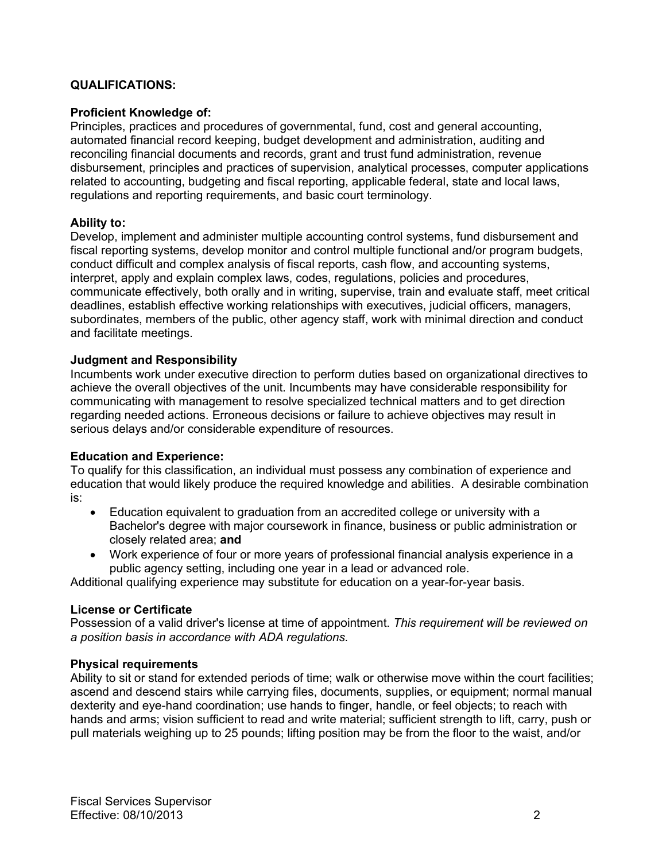## **QUALIFICATIONS:**

#### **Proficient Knowledge of:**

Principles, practices and procedures of governmental, fund, cost and general accounting, automated financial record keeping, budget development and administration, auditing and reconciling financial documents and records, grant and trust fund administration, revenue disbursement, principles and practices of supervision, analytical processes, computer applications related to accounting, budgeting and fiscal reporting, applicable federal, state and local laws, regulations and reporting requirements, and basic court terminology.

## **Ability to:**

Develop, implement and administer multiple accounting control systems, fund disbursement and fiscal reporting systems, develop monitor and control multiple functional and/or program budgets, conduct difficult and complex analysis of fiscal reports, cash flow, and accounting systems, interpret, apply and explain complex laws, codes, regulations, policies and procedures, communicate effectively, both orally and in writing, supervise, train and evaluate staff, meet critical deadlines, establish effective working relationships with executives, judicial officers, managers, subordinates, members of the public, other agency staff, work with minimal direction and conduct and facilitate meetings.

#### **Judgment and Responsibility**

Incumbents work under executive direction to perform duties based on organizational directives to achieve the overall objectives of the unit. Incumbents may have considerable responsibility for communicating with management to resolve specialized technical matters and to get direction regarding needed actions. Erroneous decisions or failure to achieve objectives may result in serious delays and/or considerable expenditure of resources.

## **Education and Experience:**

To qualify for this classification, an individual must possess any combination of experience and education that would likely produce the required knowledge and abilities. A desirable combination is:

- Education equivalent to graduation from an accredited college or university with a Bachelor's degree with major coursework in finance, business or public administration or closely related area; **and**
- Work experience of four or more years of professional financial analysis experience in a public agency setting, including one year in a lead or advanced role.

Additional qualifying experience may substitute for education on a year-for-year basis.

#### **License or Certificate**

Possession of a valid driver's license at time of appointment. *This requirement will be reviewed on a position basis in accordance with ADA regulations.*

#### **Physical requirements**

Ability to sit or stand for extended periods of time; walk or otherwise move within the court facilities; ascend and descend stairs while carrying files, documents, supplies, or equipment; normal manual dexterity and eye-hand coordination; use hands to finger, handle, or feel objects; to reach with hands and arms; vision sufficient to read and write material; sufficient strength to lift, carry, push or pull materials weighing up to 25 pounds; lifting position may be from the floor to the waist, and/or